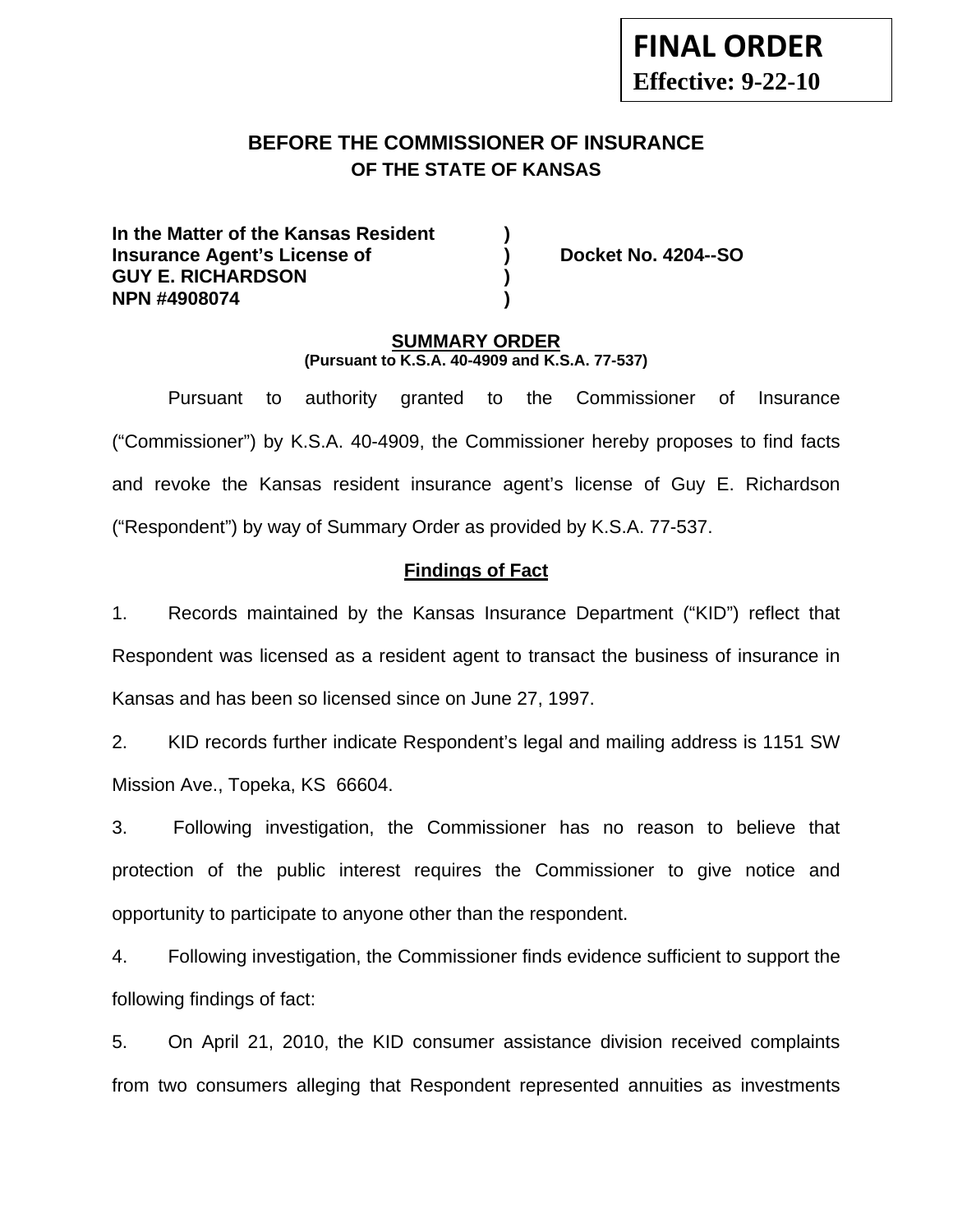# **FINAL ORDER Effective: 9-22-10**

# **BEFORE THE COMMISSIONER OF INSURANCE OF THE STATE OF KANSAS**

**In the Matter of the Kansas Resident ) Insurance Agent's License of (a) Booket No. 4204--SO GUY E. RICHARDSON ) NPN #4908074 )** 

#### **SUMMARY ORDER (Pursuant to K.S.A. 40-4909 and K.S.A. 77-537)**

 Pursuant to authority granted to the Commissioner of Insurance ("Commissioner") by K.S.A. 40-4909, the Commissioner hereby proposes to find facts and revoke the Kansas resident insurance agent's license of Guy E. Richardson ("Respondent") by way of Summary Order as provided by K.S.A. 77-537.

## **Findings of Fact**

1. Records maintained by the Kansas Insurance Department ("KID") reflect that Respondent was licensed as a resident agent to transact the business of insurance in Kansas and has been so licensed since on June 27, 1997.

2. KID records further indicate Respondent's legal and mailing address is 1151 SW Mission Ave., Topeka, KS 66604.

3. Following investigation, the Commissioner has no reason to believe that protection of the public interest requires the Commissioner to give notice and opportunity to participate to anyone other than the respondent.

4. Following investigation, the Commissioner finds evidence sufficient to support the following findings of fact:

5. On April 21, 2010, the KID consumer assistance division received complaints from two consumers alleging that Respondent represented annuities as investments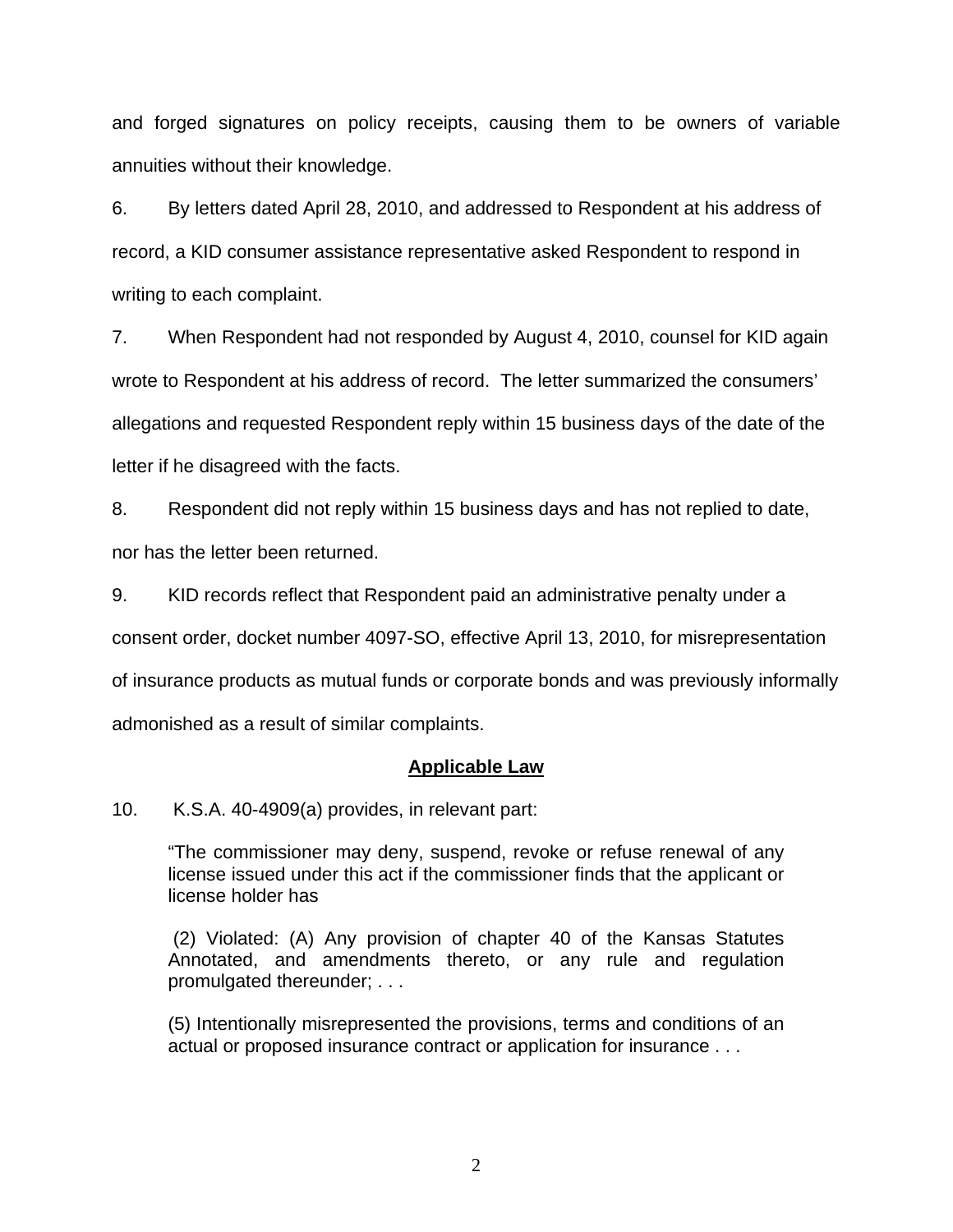and forged signatures on policy receipts, causing them to be owners of variable annuities without their knowledge.

6. By letters dated April 28, 2010, and addressed to Respondent at his address of record, a KID consumer assistance representative asked Respondent to respond in writing to each complaint.

7. When Respondent had not responded by August 4, 2010, counsel for KID again wrote to Respondent at his address of record. The letter summarized the consumers' allegations and requested Respondent reply within 15 business days of the date of the letter if he disagreed with the facts.

8. Respondent did not reply within 15 business days and has not replied to date, nor has the letter been returned.

9. KID records reflect that Respondent paid an administrative penalty under a consent order, docket number 4097-SO, effective April 13, 2010, for misrepresentation of insurance products as mutual funds or corporate bonds and was previously informally admonished as a result of similar complaints.

## **Applicable Law**

10. K.S.A. 40-4909(a) provides, in relevant part:

"The commissioner may deny, suspend, revoke or refuse renewal of any license issued under this act if the commissioner finds that the applicant or license holder has

 (2) Violated: (A) Any provision of chapter 40 of the Kansas Statutes Annotated, and amendments thereto, or any rule and regulation promulgated thereunder; . . .

(5) Intentionally misrepresented the provisions, terms and conditions of an actual or proposed insurance contract or application for insurance . . .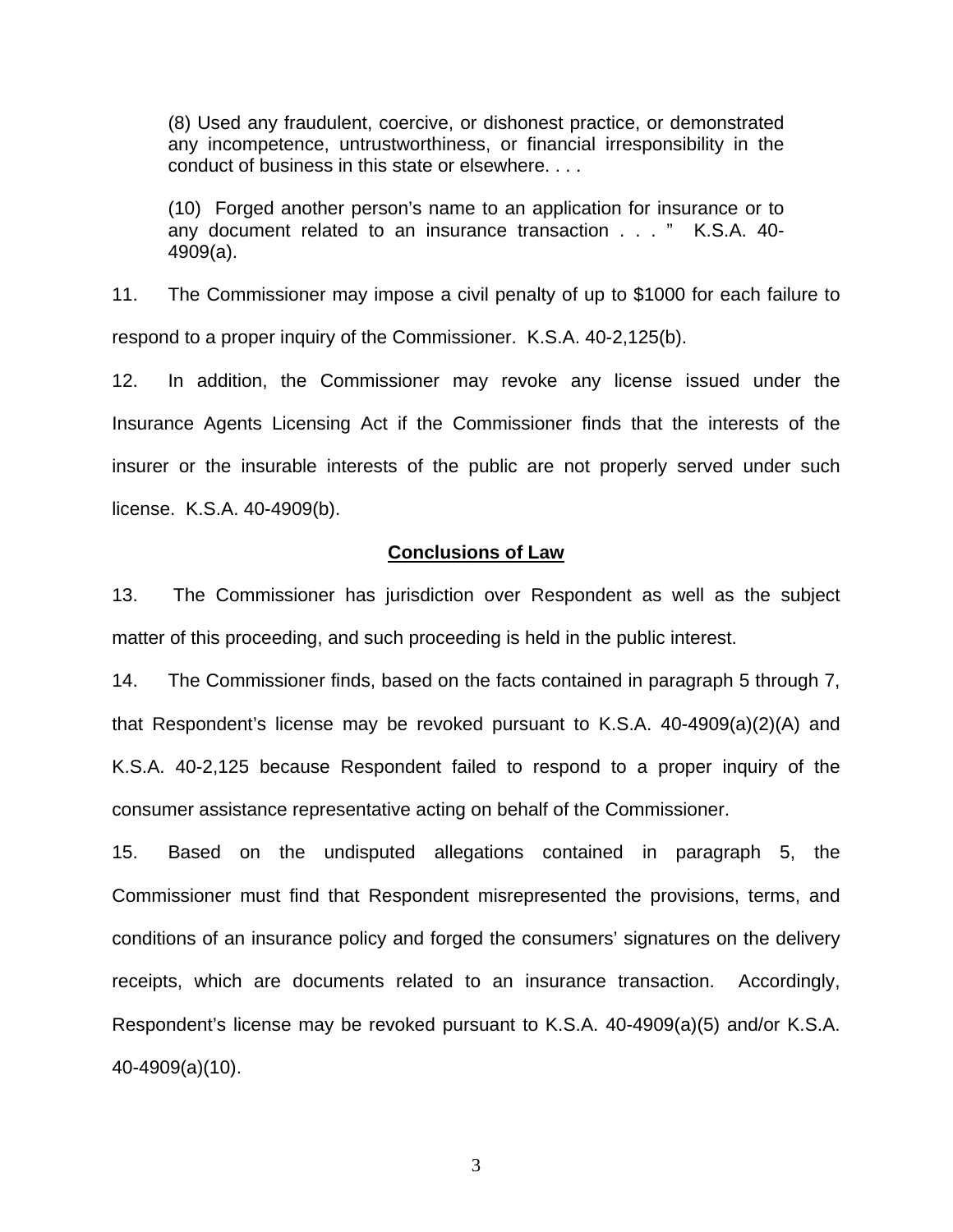(8) Used any fraudulent, coercive, or dishonest practice, or demonstrated any incompetence, untrustworthiness, or financial irresponsibility in the conduct of business in this state or elsewhere. . . .

(10) Forged another person's name to an application for insurance or to any document related to an insurance transaction . . . " K.S.A. 40- 4909(a).

11. The Commissioner may impose a civil penalty of up to \$1000 for each failure to respond to a proper inquiry of the Commissioner. K.S.A. 40-2,125(b).

12. In addition, the Commissioner may revoke any license issued under the Insurance Agents Licensing Act if the Commissioner finds that the interests of the insurer or the insurable interests of the public are not properly served under such license. K.S.A. 40-4909(b).

#### **Conclusions of Law**

13. The Commissioner has jurisdiction over Respondent as well as the subject matter of this proceeding, and such proceeding is held in the public interest.

14. The Commissioner finds, based on the facts contained in paragraph 5 through 7, that Respondent's license may be revoked pursuant to K.S.A. 40-4909(a)(2)(A) and K.S.A. 40-2,125 because Respondent failed to respond to a proper inquiry of the consumer assistance representative acting on behalf of the Commissioner.

15. Based on the undisputed allegations contained in paragraph 5, the Commissioner must find that Respondent misrepresented the provisions, terms, and conditions of an insurance policy and forged the consumers' signatures on the delivery receipts, which are documents related to an insurance transaction. Accordingly, Respondent's license may be revoked pursuant to K.S.A. 40-4909(a)(5) and/or K.S.A. 40-4909(a)(10).

3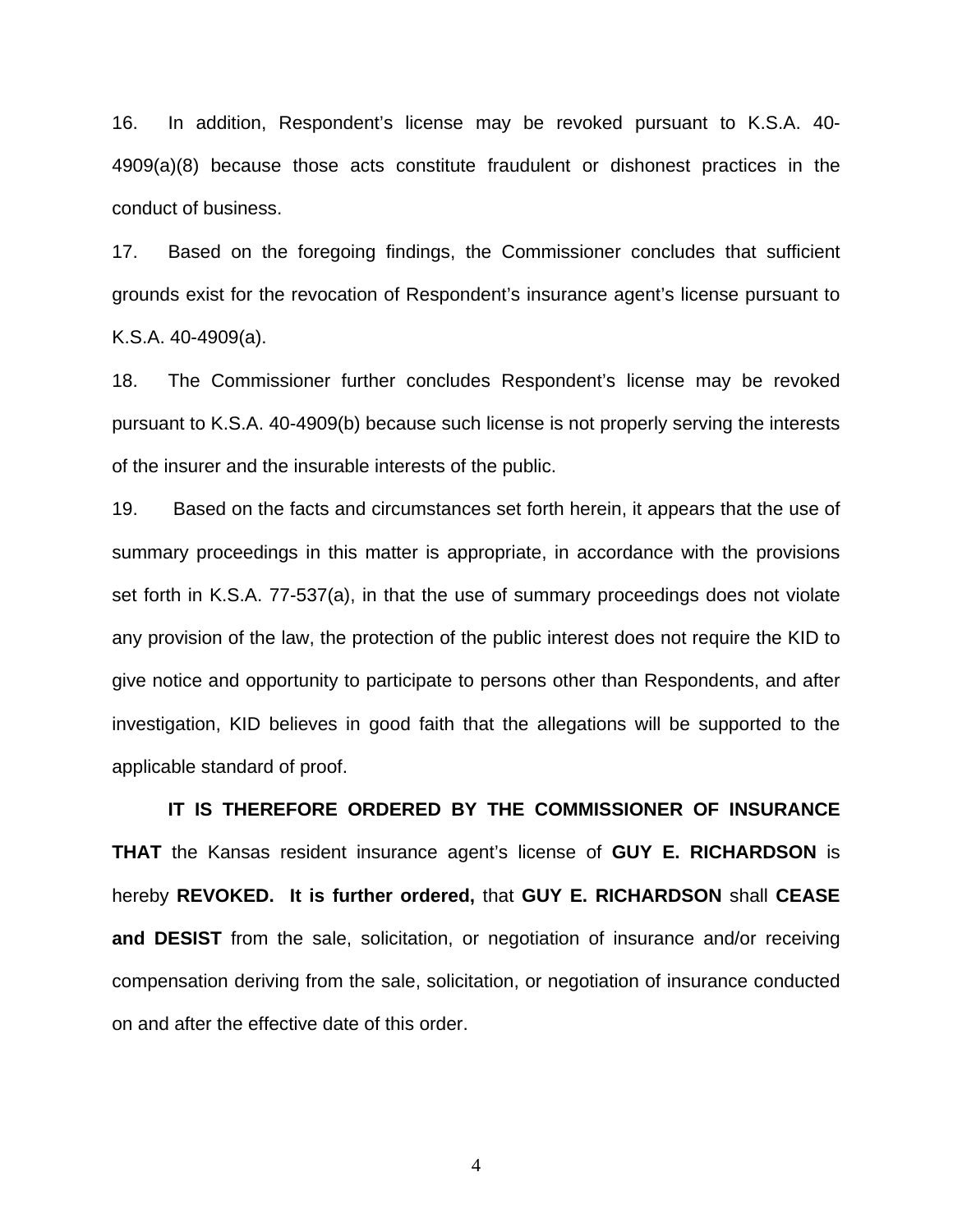16. In addition, Respondent's license may be revoked pursuant to K.S.A. 40- 4909(a)(8) because those acts constitute fraudulent or dishonest practices in the conduct of business.

17. Based on the foregoing findings, the Commissioner concludes that sufficient grounds exist for the revocation of Respondent's insurance agent's license pursuant to K.S.A. 40-4909(a).

18. The Commissioner further concludes Respondent's license may be revoked pursuant to K.S.A. 40-4909(b) because such license is not properly serving the interests of the insurer and the insurable interests of the public.

19. Based on the facts and circumstances set forth herein, it appears that the use of summary proceedings in this matter is appropriate, in accordance with the provisions set forth in K.S.A. 77-537(a), in that the use of summary proceedings does not violate any provision of the law, the protection of the public interest does not require the KID to give notice and opportunity to participate to persons other than Respondents, and after investigation, KID believes in good faith that the allegations will be supported to the applicable standard of proof.

 **IT IS THEREFORE ORDERED BY THE COMMISSIONER OF INSURANCE THAT** the Kansas resident insurance agent's license of **GUY E. RICHARDSON** is hereby **REVOKED. It is further ordered,** that **GUY E. RICHARDSON** shall **CEASE and DESIST** from the sale, solicitation, or negotiation of insurance and/or receiving compensation deriving from the sale, solicitation, or negotiation of insurance conducted on and after the effective date of this order.

4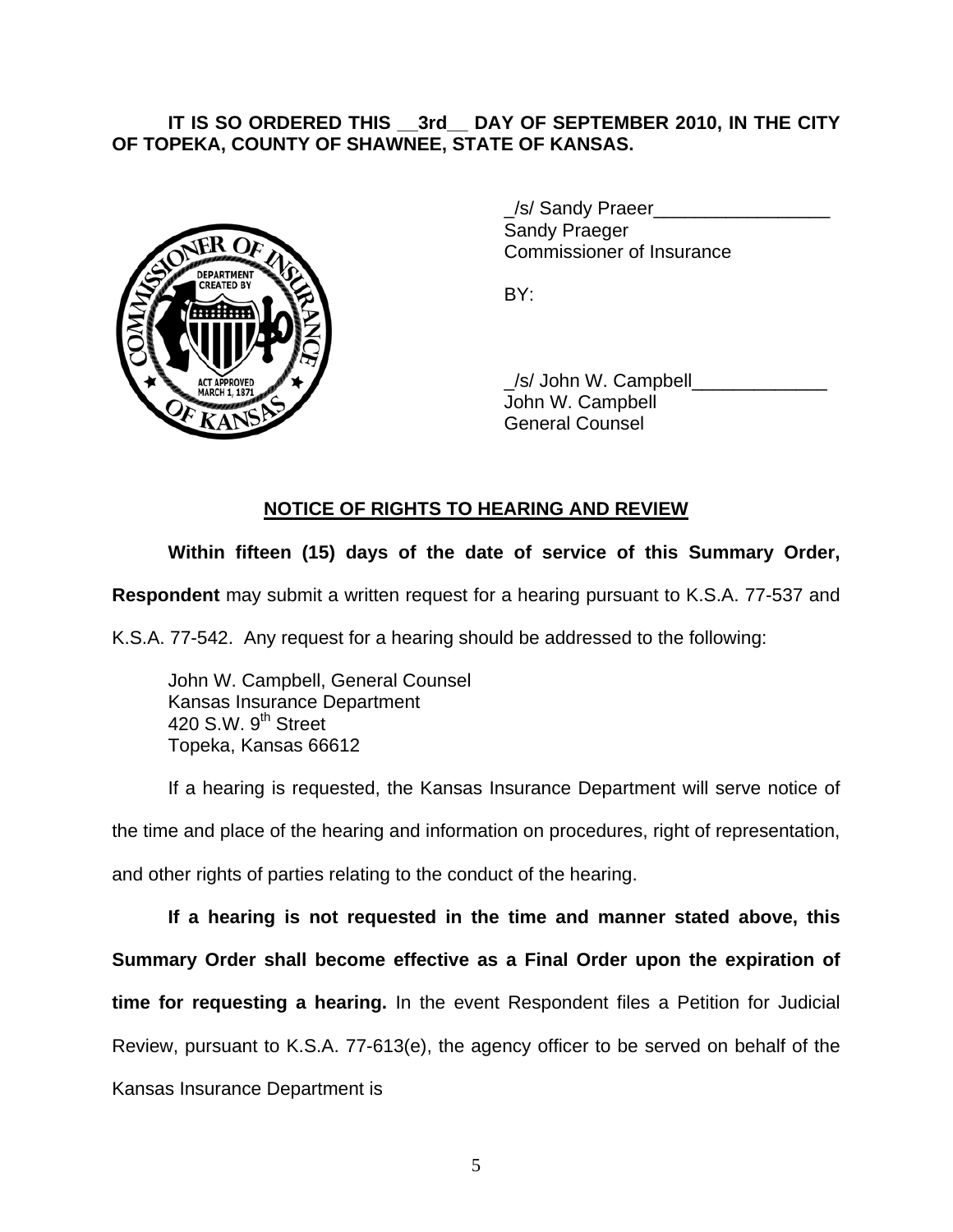## **IT IS SO ORDERED THIS \_\_3rd\_\_ DAY OF SEPTEMBER 2010, IN THE CITY OF TOPEKA, COUNTY OF SHAWNEE, STATE OF KANSAS.**



/s/ Sandy Praeer Sandy Praeger Commissioner of Insurance

 \_/s/ John W. Campbell\_\_\_\_\_\_\_\_\_\_\_\_\_ John W. Campbell General Counsel

# **NOTICE OF RIGHTS TO HEARING AND REVIEW**

# **Within fifteen (15) days of the date of service of this Summary Order,**

**Respondent** may submit a written request for a hearing pursuant to K.S.A. 77-537 and

K.S.A. 77-542. Any request for a hearing should be addressed to the following:

 John W. Campbell, General Counsel Kansas Insurance Department 420 S.W. 9<sup>th</sup> Street Topeka, Kansas 66612

If a hearing is requested, the Kansas Insurance Department will serve notice of the time and place of the hearing and information on procedures, right of representation, and other rights of parties relating to the conduct of the hearing.

**If a hearing is not requested in the time and manner stated above, this Summary Order shall become effective as a Final Order upon the expiration of time for requesting a hearing.** In the event Respondent files a Petition for Judicial Review, pursuant to K.S.A. 77-613(e), the agency officer to be served on behalf of the Kansas Insurance Department is